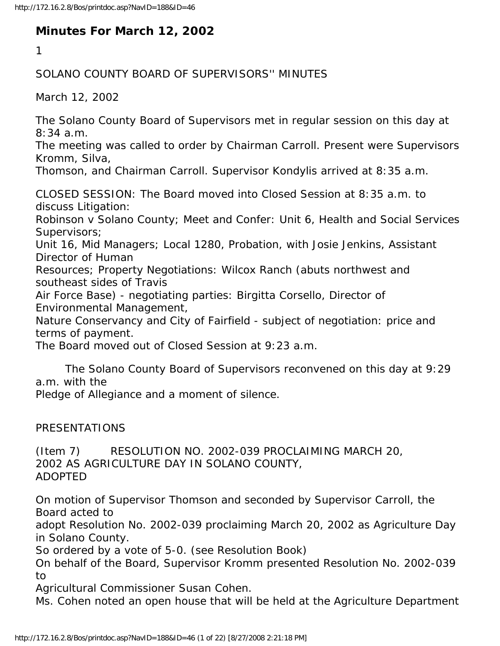## **Minutes For March 12, 2002**

1

## SOLANO COUNTY BOARD OF SUPERVISORS'' MINUTES

March 12, 2002

The Solano County Board of Supervisors met in regular session on this day at 8:34 a.m.

The meeting was called to order by Chairman Carroll. Present were Supervisors Kromm, Silva,

Thomson, and Chairman Carroll. Supervisor Kondylis arrived at 8:35 a.m.

CLOSED SESSION: The Board moved into Closed Session at 8:35 a.m. to discuss Litigation:

Robinson v Solano County; Meet and Confer: Unit 6, Health and Social Services Supervisors;

Unit 16, Mid Managers; Local 1280, Probation, with Josie Jenkins, Assistant Director of Human

Resources; Property Negotiations: Wilcox Ranch (abuts northwest and southeast sides of Travis

Air Force Base) - negotiating parties: Birgitta Corsello, Director of Environmental Management,

Nature Conservancy and City of Fairfield - subject of negotiation: price and terms of payment.

The Board moved out of Closed Session at 9:23 a.m.

 The Solano County Board of Supervisors reconvened on this day at 9:29 a.m. with the

Pledge of Allegiance and a moment of silence.

PRESENTATIONS

(Item 7) RESOLUTION NO. 2002-039 PROCLAIMING MARCH 20, 2002 AS AGRICULTURE DAY IN SOLANO COUNTY, ADOPTED

On motion of Supervisor Thomson and seconded by Supervisor Carroll, the Board acted to

adopt Resolution No. 2002-039 proclaiming March 20, 2002 as Agriculture Day in Solano County.

So ordered by a vote of 5-0. (see Resolution Book)

On behalf of the Board, Supervisor Kromm presented Resolution No. 2002-039 to

Agricultural Commissioner Susan Cohen.

Ms. Cohen noted an open house that will be held at the Agriculture Department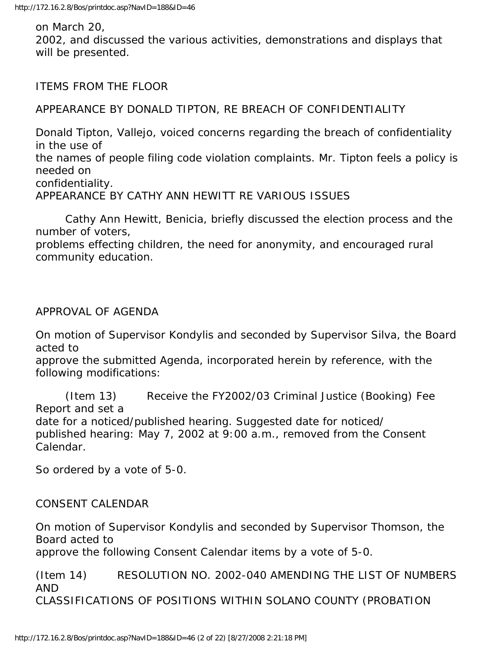on March 20,

2002, and discussed the various activities, demonstrations and displays that will be presented.

ITEMS FROM THE FLOOR

APPEARANCE BY DONALD TIPTON, RE BREACH OF CONFIDENTIALITY

Donald Tipton, Vallejo, voiced concerns regarding the breach of confidentiality in the use of the names of people filing code violation complaints. Mr. Tipton feels a policy is needed on confidentiality. APPEARANCE BY CATHY ANN HEWITT RE VARIOUS ISSUES

 Cathy Ann Hewitt, Benicia, briefly discussed the election process and the number of voters,

problems effecting children, the need for anonymity, and encouraged rural community education.

APPROVAL OF AGENDA

On motion of Supervisor Kondylis and seconded by Supervisor Silva, the Board acted to

approve the submitted Agenda, incorporated herein by reference, with the following modifications:

 (Item 13) Receive the FY2002/03 Criminal Justice (Booking) Fee Report and set a date for a noticed/published hearing. Suggested date for noticed/ published hearing: May 7, 2002 at 9:00 a.m., removed from the Consent Calendar.

So ordered by a vote of 5-0.

CONSENT CALENDAR

On motion of Supervisor Kondylis and seconded by Supervisor Thomson, the Board acted to

approve the following Consent Calendar items by a vote of 5-0.

(Item 14) RESOLUTION NO. 2002-040 AMENDING THE LIST OF NUMBERS AND CLASSIFICATIONS OF POSITIONS WITHIN SOLANO COUNTY (PROBATION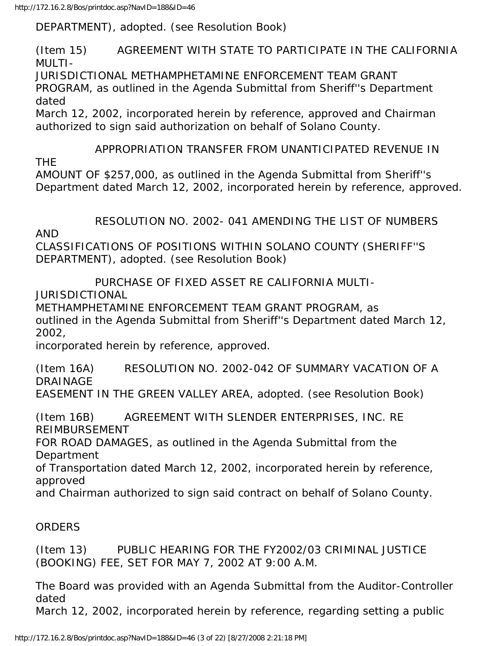DEPARTMENT), adopted. (see Resolution Book)

(Item 15) AGREEMENT WITH STATE TO PARTICIPATE IN THE CALIFORNIA MULTI-

JURISDICTIONAL METHAMPHETAMINE ENFORCEMENT TEAM GRANT PROGRAM, as outlined in the Agenda Submittal from Sheriff''s Department dated

March 12, 2002, incorporated herein by reference, approved and Chairman authorized to sign said authorization on behalf of Solano County.

 APPROPRIATION TRANSFER FROM UNANTICIPATED REVENUE IN THE AMOUNT OF \$257,000, as outlined in the Agenda Submittal from Sheriff''s Department dated March 12, 2002, incorporated herein by reference, approved.

RESOLUTION NO. 2002- 041 AMENDING THE LIST OF NUMBERS

AND

CLASSIFICATIONS OF POSITIONS WITHIN SOLANO COUNTY (SHERIFF''S DEPARTMENT), adopted. (see Resolution Book)

PURCHASE OF FIXED ASSET RE CALIFORNIA MULTI-

JURISDICTIONAL

METHAMPHETAMINE ENFORCEMENT TEAM GRANT PROGRAM, as

outlined in the Agenda Submittal from Sheriff''s Department dated March 12, 2002,

incorporated herein by reference, approved.

(Item 16A) RESOLUTION NO. 2002-042 OF SUMMARY VACATION OF A DRAINAGE EASEMENT IN THE GREEN VALLEY AREA, adopted. (see Resolution Book)

(Item 16B) AGREEMENT WITH SLENDER ENTERPRISES, INC. RE REIMBURSEMENT

FOR ROAD DAMAGES, as outlined in the Agenda Submittal from the Department

of Transportation dated March 12, 2002, incorporated herein by reference, approved

and Chairman authorized to sign said contract on behalf of Solano County.

## ORDERS

(Item 13) PUBLIC HEARING FOR THE FY2002/03 CRIMINAL JUSTICE (BOOKING) FEE, SET FOR MAY 7, 2002 AT 9:00 A.M.

The Board was provided with an Agenda Submittal from the Auditor-Controller dated

March 12, 2002, incorporated herein by reference, regarding setting a public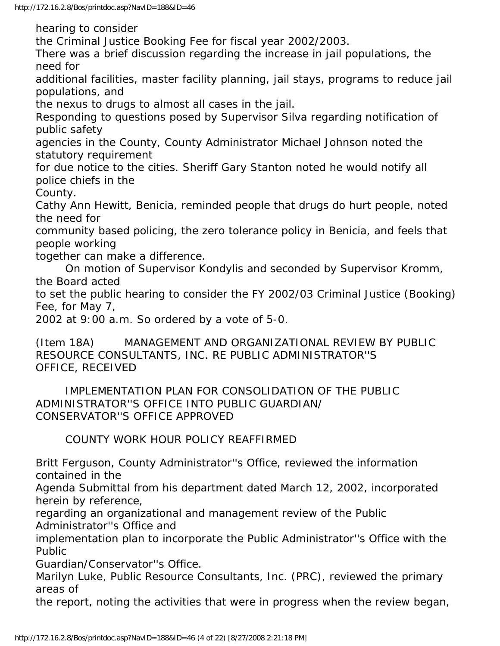hearing to consider

the Criminal Justice Booking Fee for fiscal year 2002/2003.

There was a brief discussion regarding the increase in jail populations, the need for

additional facilities, master facility planning, jail stays, programs to reduce jail populations, and

the nexus to drugs to almost all cases in the jail.

Responding to questions posed by Supervisor Silva regarding notification of public safety

agencies in the County, County Administrator Michael Johnson noted the statutory requirement

for due notice to the cities. Sheriff Gary Stanton noted he would notify all police chiefs in the

County.

Cathy Ann Hewitt, Benicia, reminded people that drugs do hurt people, noted the need for

community based policing, the zero tolerance policy in Benicia, and feels that people working

together can make a difference.

 On motion of Supervisor Kondylis and seconded by Supervisor Kromm, the Board acted

to set the public hearing to consider the FY 2002/03 Criminal Justice (Booking) Fee, for May 7,

2002 at 9:00 a.m. So ordered by a vote of 5-0.

(Item 18A) MANAGEMENT AND ORGANIZATIONAL REVIEW BY PUBLIC RESOURCE CONSULTANTS, INC. RE PUBLIC ADMINISTRATOR''S OFFICE, RECEIVED

 IMPLEMENTATION PLAN FOR CONSOLIDATION OF THE PUBLIC ADMINISTRATOR''S OFFICE INTO PUBLIC GUARDIAN/ CONSERVATOR''S OFFICE APPROVED

COUNTY WORK HOUR POLICY REAFFIRMED

Britt Ferguson, County Administrator''s Office, reviewed the information contained in the

Agenda Submittal from his department dated March 12, 2002, incorporated herein by reference,

regarding an organizational and management review of the Public Administrator''s Office and

implementation plan to incorporate the Public Administrator''s Office with the Public

Guardian/Conservator''s Office.

Marilyn Luke, Public Resource Consultants, Inc. (PRC), reviewed the primary areas of

the report, noting the activities that were in progress when the review began,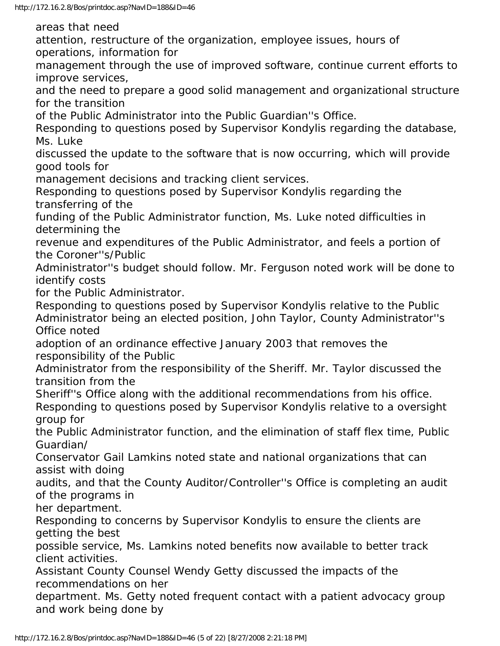areas that need

attention, restructure of the organization, employee issues, hours of operations, information for

management through the use of improved software, continue current efforts to improve services,

and the need to prepare a good solid management and organizational structure for the transition

of the Public Administrator into the Public Guardian''s Office.

Responding to questions posed by Supervisor Kondylis regarding the database, Ms. Luke

discussed the update to the software that is now occurring, which will provide good tools for

management decisions and tracking client services.

Responding to questions posed by Supervisor Kondylis regarding the transferring of the

funding of the Public Administrator function, Ms. Luke noted difficulties in determining the

revenue and expenditures of the Public Administrator, and feels a portion of the Coroner''s/Public

Administrator''s budget should follow. Mr. Ferguson noted work will be done to identify costs

for the Public Administrator.

Responding to questions posed by Supervisor Kondylis relative to the Public Administrator being an elected position, John Taylor, County Administrator''s Office noted

adoption of an ordinance effective January 2003 that removes the responsibility of the Public

Administrator from the responsibility of the Sheriff. Mr. Taylor discussed the transition from the

Sheriff''s Office along with the additional recommendations from his office.

Responding to questions posed by Supervisor Kondylis relative to a oversight group for

the Public Administrator function, and the elimination of staff flex time, Public Guardian/

Conservator Gail Lamkins noted state and national organizations that can assist with doing

audits, and that the County Auditor/Controller''s Office is completing an audit of the programs in

her department.

Responding to concerns by Supervisor Kondylis to ensure the clients are getting the best

possible service, Ms. Lamkins noted benefits now available to better track client activities.

Assistant County Counsel Wendy Getty discussed the impacts of the recommendations on her

department. Ms. Getty noted frequent contact with a patient advocacy group and work being done by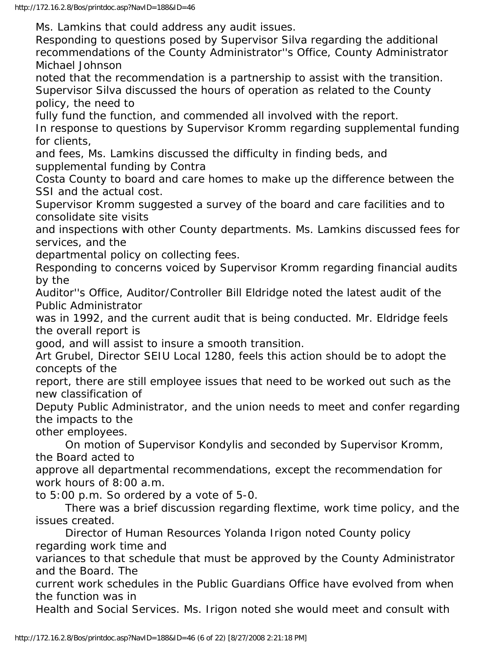Ms. Lamkins that could address any audit issues.

Responding to questions posed by Supervisor Silva regarding the additional recommendations of the County Administrator''s Office, County Administrator Michael Johnson

noted that the recommendation is a partnership to assist with the transition. Supervisor Silva discussed the hours of operation as related to the County policy, the need to

fully fund the function, and commended all involved with the report.

In response to questions by Supervisor Kromm regarding supplemental funding for clients,

and fees, Ms. Lamkins discussed the difficulty in finding beds, and supplemental funding by Contra

Costa County to board and care homes to make up the difference between the SSI and the actual cost.

Supervisor Kromm suggested a survey of the board and care facilities and to consolidate site visits

and inspections with other County departments. Ms. Lamkins discussed fees for services, and the

departmental policy on collecting fees.

Responding to concerns voiced by Supervisor Kromm regarding financial audits by the

Auditor''s Office, Auditor/Controller Bill Eldridge noted the latest audit of the Public Administrator

was in 1992, and the current audit that is being conducted. Mr. Eldridge feels the overall report is

good, and will assist to insure a smooth transition.

Art Grubel, Director SEIU Local 1280, feels this action should be to adopt the concepts of the

report, there are still employee issues that need to be worked out such as the new classification of

Deputy Public Administrator, and the union needs to meet and confer regarding the impacts to the

other employees.

 On motion of Supervisor Kondylis and seconded by Supervisor Kromm, the Board acted to

approve all departmental recommendations, except the recommendation for work hours of 8:00 a.m.

to 5:00 p.m. So ordered by a vote of 5-0.

 There was a brief discussion regarding flextime, work time policy, and the issues created.

 Director of Human Resources Yolanda Irigon noted County policy regarding work time and

variances to that schedule that must be approved by the County Administrator and the Board. The

current work schedules in the Public Guardians Office have evolved from when the function was in

Health and Social Services. Ms. Irigon noted she would meet and consult with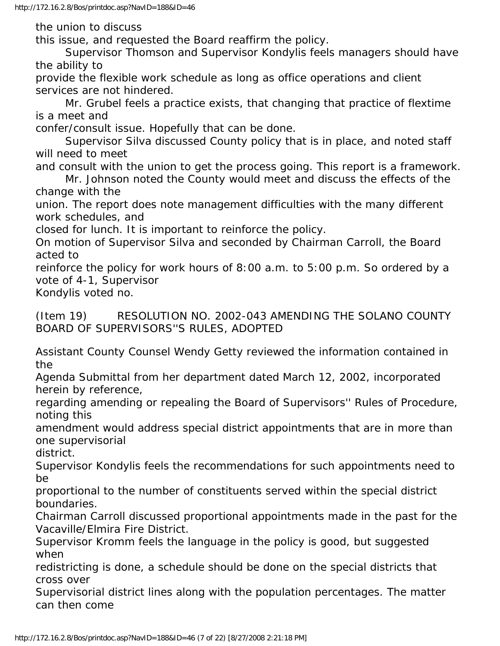the union to discuss

this issue, and requested the Board reaffirm the policy.

 Supervisor Thomson and Supervisor Kondylis feels managers should have the ability to

provide the flexible work schedule as long as office operations and client services are not hindered.

 Mr. Grubel feels a practice exists, that changing that practice of flextime is a meet and

confer/consult issue. Hopefully that can be done.

 Supervisor Silva discussed County policy that is in place, and noted staff will need to meet

and consult with the union to get the process going. This report is a framework.

 Mr. Johnson noted the County would meet and discuss the effects of the change with the

union. The report does note management difficulties with the many different work schedules, and

closed for lunch. It is important to reinforce the policy.

On motion of Supervisor Silva and seconded by Chairman Carroll, the Board acted to

reinforce the policy for work hours of 8:00 a.m. to 5:00 p.m. So ordered by a vote of 4-1, Supervisor

Kondylis voted no.

(Item 19) RESOLUTION NO. 2002-043 AMENDING THE SOLANO COUNTY BOARD OF SUPERVISORS''S RULES, ADOPTED

Assistant County Counsel Wendy Getty reviewed the information contained in the

Agenda Submittal from her department dated March 12, 2002, incorporated herein by reference,

regarding amending or repealing the Board of Supervisors'' Rules of Procedure, noting this

amendment would address special district appointments that are in more than one supervisorial

district.

Supervisor Kondylis feels the recommendations for such appointments need to be

proportional to the number of constituents served within the special district boundaries.

Chairman Carroll discussed proportional appointments made in the past for the Vacaville/Elmira Fire District.

Supervisor Kromm feels the language in the policy is good, but suggested when

redistricting is done, a schedule should be done on the special districts that cross over

Supervisorial district lines along with the population percentages. The matter can then come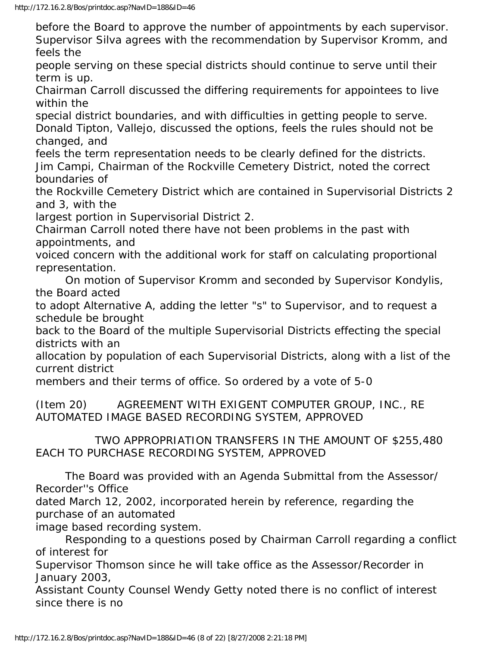before the Board to approve the number of appointments by each supervisor. Supervisor Silva agrees with the recommendation by Supervisor Kromm, and feels the

people serving on these special districts should continue to serve until their term is up.

Chairman Carroll discussed the differing requirements for appointees to live within the

special district boundaries, and with difficulties in getting people to serve. Donald Tipton, Vallejo, discussed the options, feels the rules should not be changed, and

feels the term representation needs to be clearly defined for the districts. Jim Campi, Chairman of the Rockville Cemetery District, noted the correct boundaries of

the Rockville Cemetery District which are contained in Supervisorial Districts 2 and 3, with the

largest portion in Supervisorial District 2.

Chairman Carroll noted there have not been problems in the past with appointments, and

voiced concern with the additional work for staff on calculating proportional representation.

 On motion of Supervisor Kromm and seconded by Supervisor Kondylis, the Board acted

to adopt Alternative A, adding the letter "s" to Supervisor, and to request a schedule be brought

back to the Board of the multiple Supervisorial Districts effecting the special districts with an

allocation by population of each Supervisorial Districts, along with a list of the current district

members and their terms of office. So ordered by a vote of 5-0

(Item 20) AGREEMENT WITH EXIGENT COMPUTER GROUP, INC., RE AUTOMATED IMAGE BASED RECORDING SYSTEM, APPROVED

 TWO APPROPRIATION TRANSFERS IN THE AMOUNT OF \$255,480 EACH TO PURCHASE RECORDING SYSTEM, APPROVED

 The Board was provided with an Agenda Submittal from the Assessor/ Recorder''s Office

dated March 12, 2002, incorporated herein by reference, regarding the purchase of an automated

image based recording system.

 Responding to a questions posed by Chairman Carroll regarding a conflict of interest for

Supervisor Thomson since he will take office as the Assessor/Recorder in January 2003,

Assistant County Counsel Wendy Getty noted there is no conflict of interest since there is no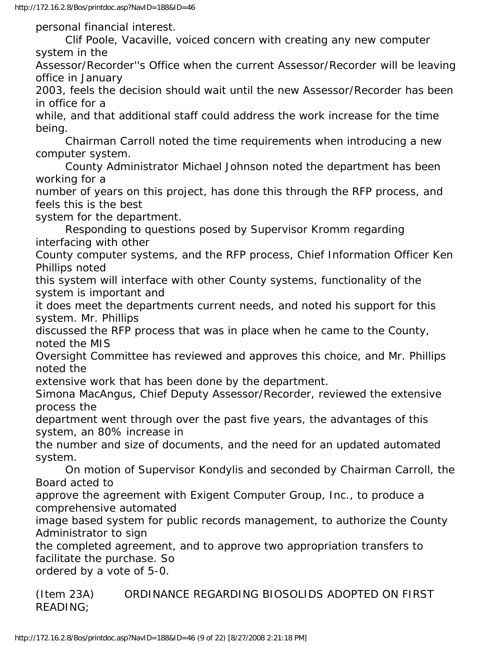personal financial interest.

 Clif Poole, Vacaville, voiced concern with creating any new computer system in the

Assessor/Recorder''s Office when the current Assessor/Recorder will be leaving office in January

2003, feels the decision should wait until the new Assessor/Recorder has been in office for a

while, and that additional staff could address the work increase for the time being.

 Chairman Carroll noted the time requirements when introducing a new computer system.

 County Administrator Michael Johnson noted the department has been working for a

number of years on this project, has done this through the RFP process, and feels this is the best

system for the department.

 Responding to questions posed by Supervisor Kromm regarding interfacing with other

County computer systems, and the RFP process, Chief Information Officer Ken Phillips noted

this system will interface with other County systems, functionality of the system is important and

it does meet the departments current needs, and noted his support for this system. Mr. Phillips

discussed the RFP process that was in place when he came to the County, noted the MIS

Oversight Committee has reviewed and approves this choice, and Mr. Phillips noted the

extensive work that has been done by the department.

Simona MacAngus, Chief Deputy Assessor/Recorder, reviewed the extensive process the

department went through over the past five years, the advantages of this system, an 80% increase in

the number and size of documents, and the need for an updated automated system.

 On motion of Supervisor Kondylis and seconded by Chairman Carroll, the Board acted to

approve the agreement with Exigent Computer Group, Inc., to produce a comprehensive automated

image based system for public records management, to authorize the County Administrator to sign

the completed agreement, and to approve two appropriation transfers to facilitate the purchase. So

ordered by a vote of 5-0.

(Item 23A) ORDINANCE REGARDING BIOSOLIDS ADOPTED ON FIRST READING;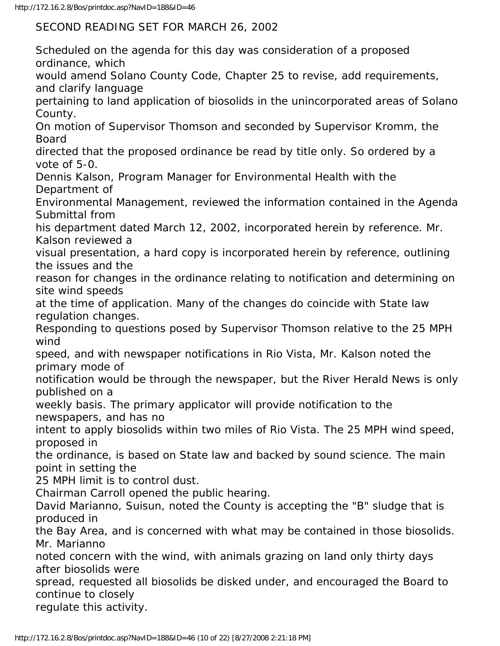SECOND READING SET FOR MARCH 26, 2002

Scheduled on the agenda for this day was consideration of a proposed ordinance, which would amend Solano County Code, Chapter 25 to revise, add requirements, and clarify language pertaining to land application of biosolids in the unincorporated areas of Solano County. On motion of Supervisor Thomson and seconded by Supervisor Kromm, the Board directed that the proposed ordinance be read by title only. So ordered by a vote of 5-0. Dennis Kalson, Program Manager for Environmental Health with the Department of Environmental Management, reviewed the information contained in the Agenda Submittal from his department dated March 12, 2002, incorporated herein by reference. Mr. Kalson reviewed a visual presentation, a hard copy is incorporated herein by reference, outlining the issues and the reason for changes in the ordinance relating to notification and determining on site wind speeds at the time of application. Many of the changes do coincide with State law regulation changes. Responding to questions posed by Supervisor Thomson relative to the 25 MPH wind speed, and with newspaper notifications in Rio Vista, Mr. Kalson noted the primary mode of notification would be through the newspaper, but the River Herald News is only published on a weekly basis. The primary applicator will provide notification to the newspapers, and has no intent to apply biosolids within two miles of Rio Vista. The 25 MPH wind speed, proposed in the ordinance, is based on State law and backed by sound science. The main point in setting the 25 MPH limit is to control dust. Chairman Carroll opened the public hearing. David Marianno, Suisun, noted the County is accepting the "B" sludge that is produced in the Bay Area, and is concerned with what may be contained in those biosolids. Mr. Marianno noted concern with the wind, with animals grazing on land only thirty days after biosolids were spread, requested all biosolids be disked under, and encouraged the Board to continue to closely regulate this activity.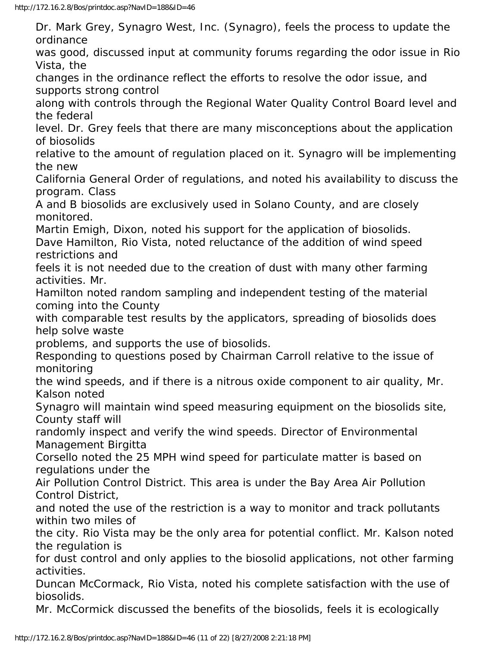Dr. Mark Grey, Synagro West, Inc. (Synagro), feels the process to update the ordinance was good, discussed input at community forums regarding the odor issue in Rio Vista, the changes in the ordinance reflect the efforts to resolve the odor issue, and supports strong control along with controls through the Regional Water Quality Control Board level and the federal level. Dr. Grey feels that there are many misconceptions about the application of biosolids relative to the amount of regulation placed on it. Synagro will be implementing the new California General Order of regulations, and noted his availability to discuss the program. Class A and B biosolids are exclusively used in Solano County, and are closely monitored. Martin Emigh, Dixon, noted his support for the application of biosolids. Dave Hamilton, Rio Vista, noted reluctance of the addition of wind speed restrictions and feels it is not needed due to the creation of dust with many other farming activities. Mr. Hamilton noted random sampling and independent testing of the material coming into the County with comparable test results by the applicators, spreading of biosolids does help solve waste problems, and supports the use of biosolids. Responding to questions posed by Chairman Carroll relative to the issue of monitoring the wind speeds, and if there is a nitrous oxide component to air quality, Mr. Kalson noted Synagro will maintain wind speed measuring equipment on the biosolids site, County staff will randomly inspect and verify the wind speeds. Director of Environmental Management Birgitta Corsello noted the 25 MPH wind speed for particulate matter is based on regulations under the Air Pollution Control District. This area is under the Bay Area Air Pollution Control District, and noted the use of the restriction is a way to monitor and track pollutants within two miles of the city. Rio Vista may be the only area for potential conflict. Mr. Kalson noted the regulation is for dust control and only applies to the biosolid applications, not other farming activities. Duncan McCormack, Rio Vista, noted his complete satisfaction with the use of biosolids. Mr. McCormick discussed the benefits of the biosolids, feels it is ecologically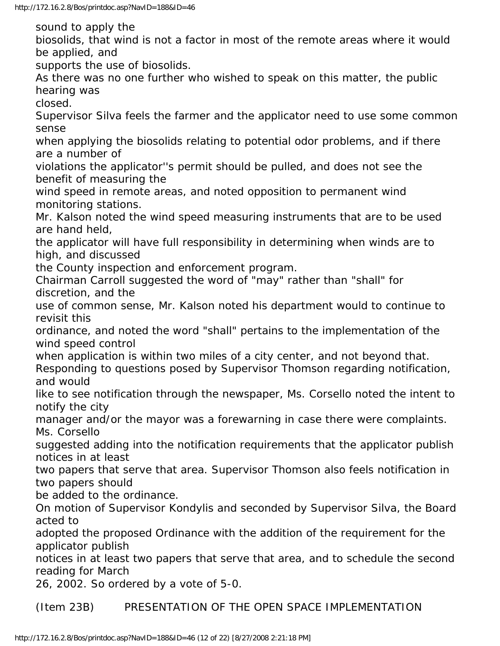sound to apply the

biosolids, that wind is not a factor in most of the remote areas where it would be applied, and

supports the use of biosolids.

As there was no one further who wished to speak on this matter, the public hearing was

closed.

Supervisor Silva feels the farmer and the applicator need to use some common sense

when applying the biosolids relating to potential odor problems, and if there are a number of

violations the applicator''s permit should be pulled, and does not see the benefit of measuring the

wind speed in remote areas, and noted opposition to permanent wind monitoring stations.

Mr. Kalson noted the wind speed measuring instruments that are to be used are hand held,

the applicator will have full responsibility in determining when winds are to high, and discussed

the County inspection and enforcement program.

Chairman Carroll suggested the word of "may" rather than "shall" for discretion, and the

use of common sense, Mr. Kalson noted his department would to continue to revisit this

ordinance, and noted the word "shall" pertains to the implementation of the wind speed control

when application is within two miles of a city center, and not beyond that. Responding to questions posed by Supervisor Thomson regarding notification, and would

like to see notification through the newspaper, Ms. Corsello noted the intent to notify the city

manager and/or the mayor was a forewarning in case there were complaints. Ms. Corsello

suggested adding into the notification requirements that the applicator publish notices in at least

two papers that serve that area. Supervisor Thomson also feels notification in two papers should

be added to the ordinance.

On motion of Supervisor Kondylis and seconded by Supervisor Silva, the Board acted to

adopted the proposed Ordinance with the addition of the requirement for the applicator publish

notices in at least two papers that serve that area, and to schedule the second reading for March

26, 2002. So ordered by a vote of 5-0.

(Item 23B) PRESENTATION OF THE OPEN SPACE IMPLEMENTATION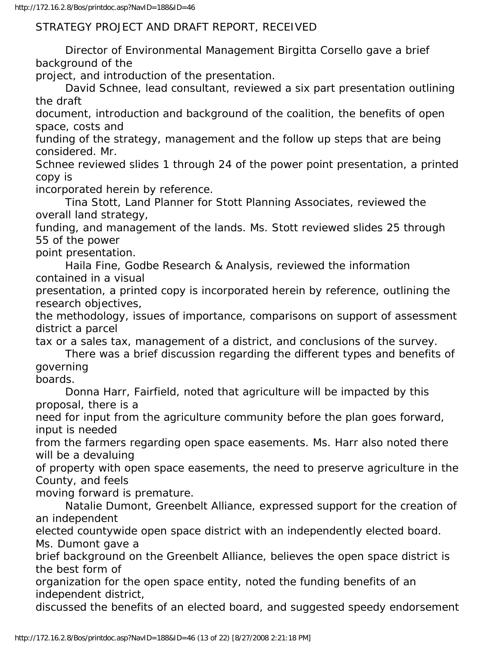## STRATEGY PROJECT AND DRAFT REPORT, RECEIVED

 Director of Environmental Management Birgitta Corsello gave a brief background of the

project, and introduction of the presentation.

 David Schnee, lead consultant, reviewed a six part presentation outlining the draft

document, introduction and background of the coalition, the benefits of open space, costs and

funding of the strategy, management and the follow up steps that are being considered. Mr.

Schnee reviewed slides 1 through 24 of the power point presentation, a printed copy is

incorporated herein by reference.

 Tina Stott, Land Planner for Stott Planning Associates, reviewed the overall land strategy,

funding, and management of the lands. Ms. Stott reviewed slides 25 through 55 of the power

point presentation.

 Haila Fine, Godbe Research & Analysis, reviewed the information contained in a visual

presentation, a printed copy is incorporated herein by reference, outlining the research objectives,

the methodology, issues of importance, comparisons on support of assessment district a parcel

tax or a sales tax, management of a district, and conclusions of the survey.

 There was a brief discussion regarding the different types and benefits of governing

boards.

 Donna Harr, Fairfield, noted that agriculture will be impacted by this proposal, there is a

need for input from the agriculture community before the plan goes forward, input is needed

from the farmers regarding open space easements. Ms. Harr also noted there will be a devaluing

of property with open space easements, the need to preserve agriculture in the County, and feels

moving forward is premature.

 Natalie Dumont, Greenbelt Alliance, expressed support for the creation of an independent

elected countywide open space district with an independently elected board. Ms. Dumont gave a

brief background on the Greenbelt Alliance, believes the open space district is the best form of

organization for the open space entity, noted the funding benefits of an independent district,

discussed the benefits of an elected board, and suggested speedy endorsement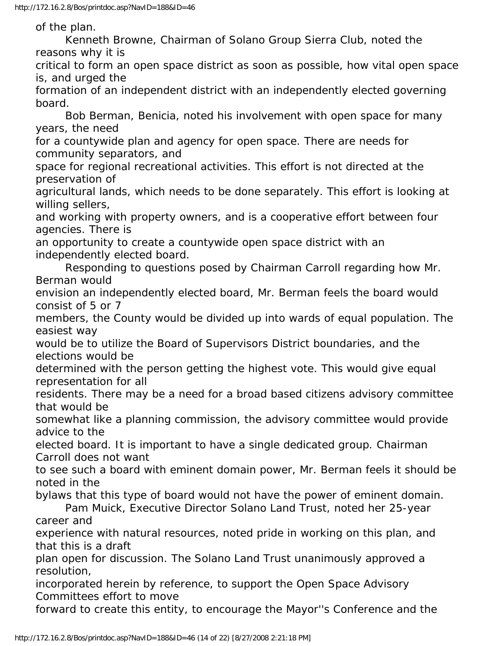of the plan.

 Kenneth Browne, Chairman of Solano Group Sierra Club, noted the reasons why it is

critical to form an open space district as soon as possible, how vital open space is, and urged the

formation of an independent district with an independently elected governing board.

 Bob Berman, Benicia, noted his involvement with open space for many years, the need

for a countywide plan and agency for open space. There are needs for community separators, and

space for regional recreational activities. This effort is not directed at the preservation of

agricultural lands, which needs to be done separately. This effort is looking at willing sellers,

and working with property owners, and is a cooperative effort between four agencies. There is

an opportunity to create a countywide open space district with an independently elected board.

 Responding to questions posed by Chairman Carroll regarding how Mr. Berman would

envision an independently elected board, Mr. Berman feels the board would consist of 5 or 7

members, the County would be divided up into wards of equal population. The easiest way

would be to utilize the Board of Supervisors District boundaries, and the elections would be

determined with the person getting the highest vote. This would give equal representation for all

residents. There may be a need for a broad based citizens advisory committee that would be

somewhat like a planning commission, the advisory committee would provide advice to the

elected board. It is important to have a single dedicated group. Chairman Carroll does not want

to see such a board with eminent domain power, Mr. Berman feels it should be noted in the

bylaws that this type of board would not have the power of eminent domain. Pam Muick, Executive Director Solano Land Trust, noted her 25-year career and

experience with natural resources, noted pride in working on this plan, and that this is a draft

plan open for discussion. The Solano Land Trust unanimously approved a resolution,

incorporated herein by reference, to support the Open Space Advisory Committees effort to move

forward to create this entity, to encourage the Mayor''s Conference and the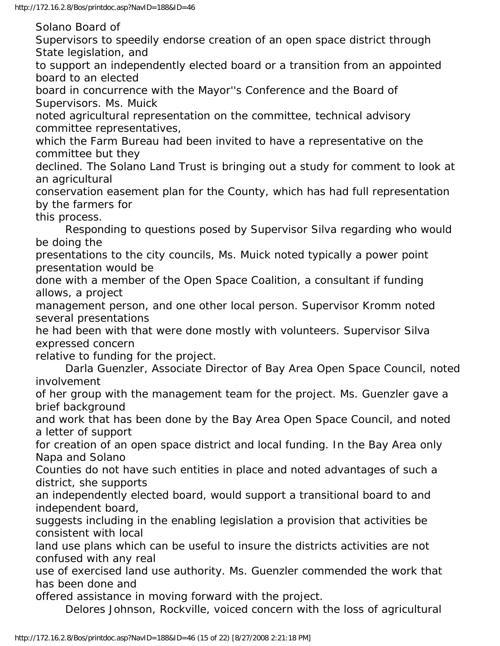Solano Board of

Supervisors to speedily endorse creation of an open space district through State legislation, and

to support an independently elected board or a transition from an appointed board to an elected

board in concurrence with the Mayor''s Conference and the Board of Supervisors. Ms. Muick

noted agricultural representation on the committee, technical advisory committee representatives,

which the Farm Bureau had been invited to have a representative on the committee but they

declined. The Solano Land Trust is bringing out a study for comment to look at an agricultural

conservation easement plan for the County, which has had full representation by the farmers for

this process.

 Responding to questions posed by Supervisor Silva regarding who would be doing the

presentations to the city councils, Ms. Muick noted typically a power point presentation would be

done with a member of the Open Space Coalition, a consultant if funding allows, a project

management person, and one other local person. Supervisor Kromm noted several presentations

he had been with that were done mostly with volunteers. Supervisor Silva expressed concern

relative to funding for the project.

 Darla Guenzler, Associate Director of Bay Area Open Space Council, noted involvement

of her group with the management team for the project. Ms. Guenzler gave a brief background

and work that has been done by the Bay Area Open Space Council, and noted a letter of support

for creation of an open space district and local funding. In the Bay Area only Napa and Solano

Counties do not have such entities in place and noted advantages of such a district, she supports

an independently elected board, would support a transitional board to and independent board,

suggests including in the enabling legislation a provision that activities be consistent with local

land use plans which can be useful to insure the districts activities are not confused with any real

use of exercised land use authority. Ms. Guenzler commended the work that has been done and

offered assistance in moving forward with the project.

Delores Johnson, Rockville, voiced concern with the loss of agricultural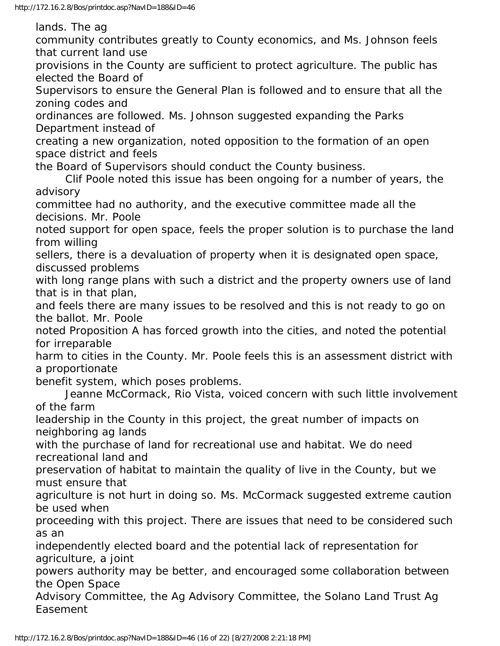lands. The ag

community contributes greatly to County economics, and Ms. Johnson feels that current land use

provisions in the County are sufficient to protect agriculture. The public has elected the Board of

Supervisors to ensure the General Plan is followed and to ensure that all the zoning codes and

ordinances are followed. Ms. Johnson suggested expanding the Parks Department instead of

creating a new organization, noted opposition to the formation of an open space district and feels

the Board of Supervisors should conduct the County business.

 Clif Poole noted this issue has been ongoing for a number of years, the advisory

committee had no authority, and the executive committee made all the decisions. Mr. Poole

noted support for open space, feels the proper solution is to purchase the land from willing

sellers, there is a devaluation of property when it is designated open space, discussed problems

with long range plans with such a district and the property owners use of land that is in that plan,

and feels there are many issues to be resolved and this is not ready to go on the ballot. Mr. Poole

noted Proposition A has forced growth into the cities, and noted the potential for irreparable

harm to cities in the County. Mr. Poole feels this is an assessment district with a proportionate

benefit system, which poses problems.

 Jeanne McCormack, Rio Vista, voiced concern with such little involvement of the farm

leadership in the County in this project, the great number of impacts on neighboring ag lands

with the purchase of land for recreational use and habitat. We do need recreational land and

preservation of habitat to maintain the quality of live in the County, but we must ensure that

agriculture is not hurt in doing so. Ms. McCormack suggested extreme caution be used when

proceeding with this project. There are issues that need to be considered such as an

independently elected board and the potential lack of representation for agriculture, a joint

powers authority may be better, and encouraged some collaboration between the Open Space

Advisory Committee, the Ag Advisory Committee, the Solano Land Trust Ag Easement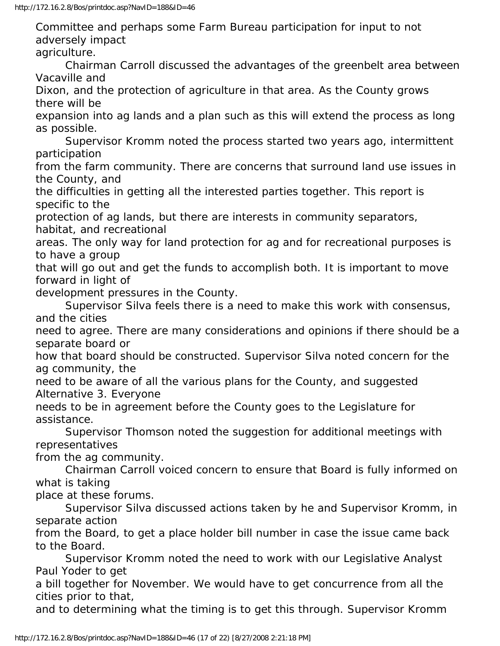Committee and perhaps some Farm Bureau participation for input to not adversely impact

agriculture.

 Chairman Carroll discussed the advantages of the greenbelt area between Vacaville and

Dixon, and the protection of agriculture in that area. As the County grows there will be

expansion into ag lands and a plan such as this will extend the process as long as possible.

 Supervisor Kromm noted the process started two years ago, intermittent participation

from the farm community. There are concerns that surround land use issues in the County, and

the difficulties in getting all the interested parties together. This report is specific to the

protection of ag lands, but there are interests in community separators, habitat, and recreational

areas. The only way for land protection for ag and for recreational purposes is to have a group

that will go out and get the funds to accomplish both. It is important to move forward in light of

development pressures in the County.

 Supervisor Silva feels there is a need to make this work with consensus, and the cities

need to agree. There are many considerations and opinions if there should be a separate board or

how that board should be constructed. Supervisor Silva noted concern for the ag community, the

need to be aware of all the various plans for the County, and suggested Alternative 3. Everyone

needs to be in agreement before the County goes to the Legislature for assistance.

 Supervisor Thomson noted the suggestion for additional meetings with representatives

from the ag community.

 Chairman Carroll voiced concern to ensure that Board is fully informed on what is taking

place at these forums.

 Supervisor Silva discussed actions taken by he and Supervisor Kromm, in separate action

from the Board, to get a place holder bill number in case the issue came back to the Board.

 Supervisor Kromm noted the need to work with our Legislative Analyst Paul Yoder to get

a bill together for November. We would have to get concurrence from all the cities prior to that,

and to determining what the timing is to get this through. Supervisor Kromm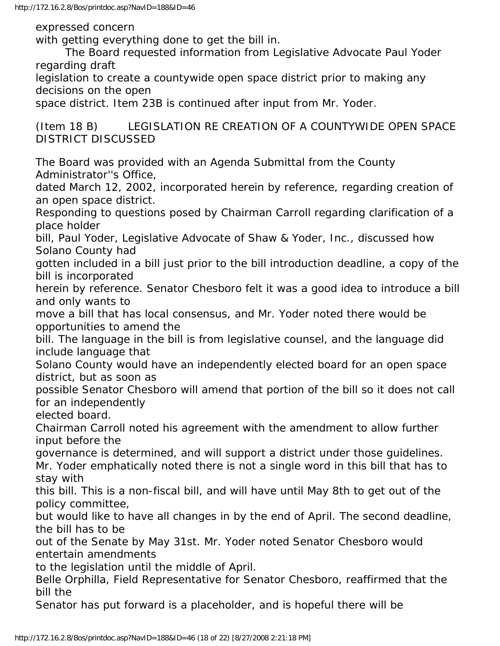http://172.16.2.8/Bos/printdoc.asp?NavID=188&ID=46

expressed concern

with getting everything done to get the bill in.

 The Board requested information from Legislative Advocate Paul Yoder regarding draft

legislation to create a countywide open space district prior to making any decisions on the open

space district. Item 23B is continued after input from Mr. Yoder.

(Item 18 B) LEGISLATION RE CREATION OF A COUNTYWIDE OPEN SPACE DISTRICT DISCUSSED

The Board was provided with an Agenda Submittal from the County Administrator''s Office,

dated March 12, 2002, incorporated herein by reference, regarding creation of an open space district.

Responding to questions posed by Chairman Carroll regarding clarification of a place holder

bill, Paul Yoder, Legislative Advocate of Shaw & Yoder, Inc., discussed how Solano County had

gotten included in a bill just prior to the bill introduction deadline, a copy of the bill is incorporated

herein by reference. Senator Chesboro felt it was a good idea to introduce a bill and only wants to

move a bill that has local consensus, and Mr. Yoder noted there would be opportunities to amend the

bill. The language in the bill is from legislative counsel, and the language did include language that

Solano County would have an independently elected board for an open space district, but as soon as

possible Senator Chesboro will amend that portion of the bill so it does not call for an independently

elected board.

Chairman Carroll noted his agreement with the amendment to allow further input before the

governance is determined, and will support a district under those guidelines. Mr. Yoder emphatically noted there is not a single word in this bill that has to stay with

this bill. This is a non-fiscal bill, and will have until May 8th to get out of the policy committee,

but would like to have all changes in by the end of April. The second deadline, the bill has to be

out of the Senate by May 31st. Mr. Yoder noted Senator Chesboro would entertain amendments

to the legislation until the middle of April.

Belle Orphilla, Field Representative for Senator Chesboro, reaffirmed that the bill the

Senator has put forward is a placeholder, and is hopeful there will be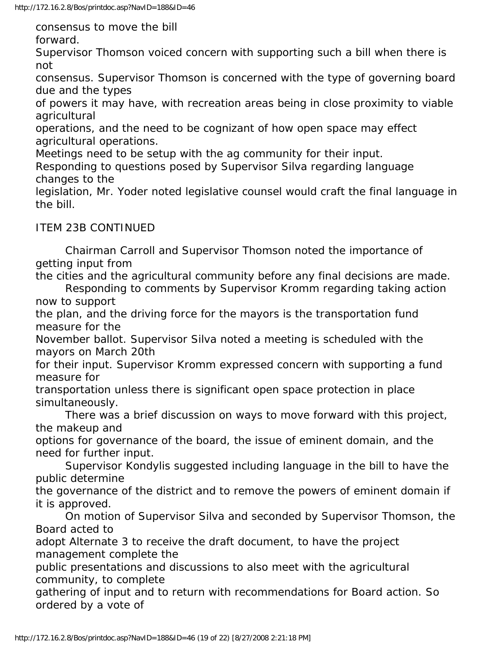consensus to move the bill

forward.

Supervisor Thomson voiced concern with supporting such a bill when there is not

consensus. Supervisor Thomson is concerned with the type of governing board due and the types

of powers it may have, with recreation areas being in close proximity to viable agricultural

operations, and the need to be cognizant of how open space may effect agricultural operations.

Meetings need to be setup with the ag community for their input.

Responding to questions posed by Supervisor Silva regarding language changes to the

legislation, Mr. Yoder noted legislative counsel would craft the final language in the bill.

ITEM 23B CONTINUED

 Chairman Carroll and Supervisor Thomson noted the importance of getting input from

the cities and the agricultural community before any final decisions are made.

 Responding to comments by Supervisor Kromm regarding taking action now to support

the plan, and the driving force for the mayors is the transportation fund measure for the

November ballot. Supervisor Silva noted a meeting is scheduled with the mayors on March 20th

for their input. Supervisor Kromm expressed concern with supporting a fund measure for

transportation unless there is significant open space protection in place simultaneously.

 There was a brief discussion on ways to move forward with this project, the makeup and

options for governance of the board, the issue of eminent domain, and the need for further input.

 Supervisor Kondylis suggested including language in the bill to have the public determine

the governance of the district and to remove the powers of eminent domain if it is approved.

 On motion of Supervisor Silva and seconded by Supervisor Thomson, the Board acted to

adopt Alternate 3 to receive the draft document, to have the project management complete the

public presentations and discussions to also meet with the agricultural community, to complete

gathering of input and to return with recommendations for Board action. So ordered by a vote of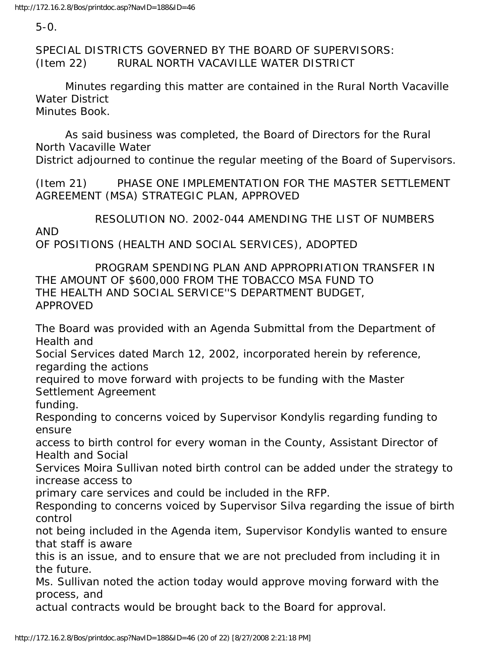5-0.

SPECIAL DISTRICTS GOVERNED BY THE BOARD OF SUPERVISORS: (Item 22) RURAL NORTH VACAVILLE WATER DISTRICT

 Minutes regarding this matter are contained in the Rural North Vacaville Water District Minutes Book.

 As said business was completed, the Board of Directors for the Rural North Vacaville Water District adjourned to continue the regular meeting of the Board of Supervisors.

(Item 21) PHASE ONE IMPLEMENTATION FOR THE MASTER SETTLEMENT AGREEMENT (MSA) STRATEGIC PLAN, APPROVED

 RESOLUTION NO. 2002-044 AMENDING THE LIST OF NUMBERS AND OF POSITIONS (HEALTH AND SOCIAL SERVICES), ADOPTED

 PROGRAM SPENDING PLAN AND APPROPRIATION TRANSFER IN THE AMOUNT OF \$600,000 FROM THE TOBACCO MSA FUND TO THE HEALTH AND SOCIAL SERVICE''S DEPARTMENT BUDGET, APPROVED

The Board was provided with an Agenda Submittal from the Department of Health and

Social Services dated March 12, 2002, incorporated herein by reference, regarding the actions

required to move forward with projects to be funding with the Master Settlement Agreement

funding.

Responding to concerns voiced by Supervisor Kondylis regarding funding to ensure

access to birth control for every woman in the County, Assistant Director of Health and Social

Services Moira Sullivan noted birth control can be added under the strategy to increase access to

primary care services and could be included in the RFP.

Responding to concerns voiced by Supervisor Silva regarding the issue of birth control

not being included in the Agenda item, Supervisor Kondylis wanted to ensure that staff is aware

this is an issue, and to ensure that we are not precluded from including it in the future.

Ms. Sullivan noted the action today would approve moving forward with the process, and

actual contracts would be brought back to the Board for approval.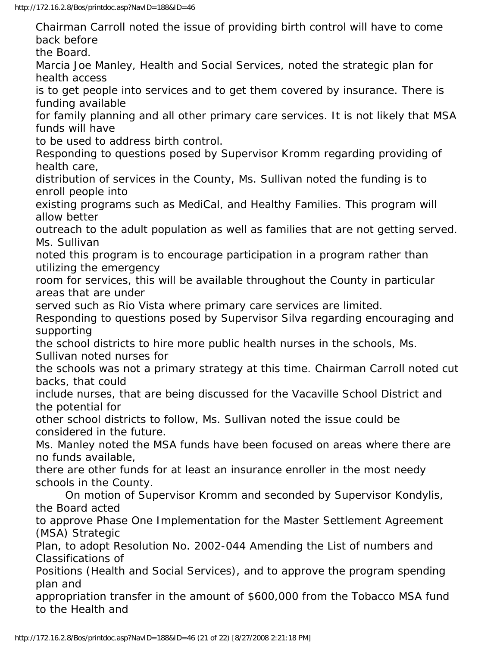Chairman Carroll noted the issue of providing birth control will have to come back before the Board. Marcia Joe Manley, Health and Social Services, noted the strategic plan for health access is to get people into services and to get them covered by insurance. There is funding available for family planning and all other primary care services. It is not likely that MSA funds will have to be used to address birth control. Responding to questions posed by Supervisor Kromm regarding providing of health care, distribution of services in the County, Ms. Sullivan noted the funding is to enroll people into existing programs such as MediCal, and Healthy Families. This program will allow better outreach to the adult population as well as families that are not getting served. Ms. Sullivan noted this program is to encourage participation in a program rather than utilizing the emergency room for services, this will be available throughout the County in particular areas that are under served such as Rio Vista where primary care services are limited. Responding to questions posed by Supervisor Silva regarding encouraging and supporting the school districts to hire more public health nurses in the schools, Ms. Sullivan noted nurses for the schools was not a primary strategy at this time. Chairman Carroll noted cut backs, that could include nurses, that are being discussed for the Vacaville School District and the potential for other school districts to follow, Ms. Sullivan noted the issue could be considered in the future. Ms. Manley noted the MSA funds have been focused on areas where there are no funds available, there are other funds for at least an insurance enroller in the most needy schools in the County. On motion of Supervisor Kromm and seconded by Supervisor Kondylis, the Board acted to approve Phase One Implementation for the Master Settlement Agreement (MSA) Strategic Plan, to adopt Resolution No. 2002-044 Amending the List of numbers and Classifications of

Positions (Health and Social Services), and to approve the program spending plan and

appropriation transfer in the amount of \$600,000 from the Tobacco MSA fund to the Health and